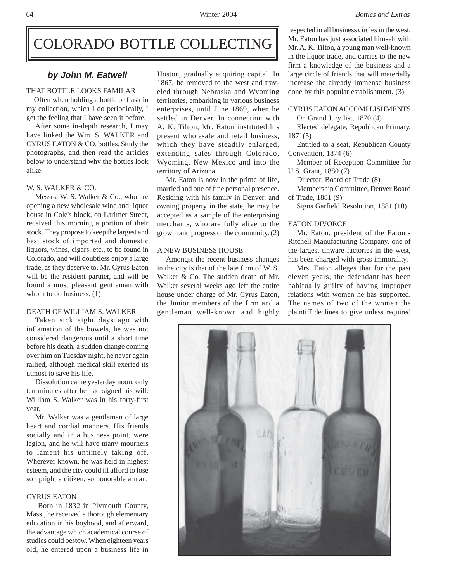# COLORADO BOTTLE COLLECTING

# THAT BOTTLE LOOKS FAMILAR

 Often when holding a bottle or flask in my collection, which I do periodically, I get the feeling that I have seen it before.

After some in-depth research, I may have linked the Wm. S. WALKER and CYRUS EATON & CO. bottles. Study the photographs, and then read the articles below to understand why the bottles look alike.

### W. S. WALKER & CO.

Messrs. W. S. Walker & Co., who are opening a new wholesale wine and liquor house in Cole's block, on Larimer Street, received this morning a portion of their stock. They propose to keep the largest and best stock of imported and domestic liquors, wines, cigars, etc., to be found in Colorado, and will doubtless enjoy a large trade, as they deserve to. Mr. Cyrus Eaton will be the resident partner, and will be found a most pleasant gentleman with whom to do business. (1)

#### DEATH OF WILLIAM S. WALKER

Taken sick eight days ago with inflamation of the bowels, he was not considered dangerous until a short time before his death, a sudden change coming over him on Tuesday night, he never again rallied, although medical skill exerted its utmost to save his life.

Dissolution came yesterday noon, only ten minutes after he had signed his will. William S. Walker was in his forty-first year.

Mr. Walker was a gentleman of large heart and cordial manners. His friends socially and in a business point, were legion, and he will have many mourners to lament his untimely taking off. Wherever known, he was held in highest esteem, and the city could ill afford to lose so upright a citizen, so honorable a man.

## CYRUS EATON

 Born in 1832 in Plymouth County, Mass., he received a thorough elementary education in his boyhood, and afterward, the advantage which academical course of studies could bestow. When eighteen years old, he entered upon a business life in

**by John M. Eatwell** Hoston, gradually acquiring capital. In 1867, he removed to the west and traveled through Nebraska and Wyoming territories, embarking in various business enterprises, until June 1869, when he settled in Denver. In connection with A. K. Tilton, Mr. Eaton instituted his present wholesale and retail business, which they have steadily enlarged, extending sales through Colorado, Wyoming, New Mexico and into the territory of Arizona.

> Mr. Eaton is now in the prime of life, married and one of fine personal presence. Residing with his family in Denver, and owning property in the state, he may be accepted as a sample of the enterprising merchants, who are fully alive to the growth and progress of the community. (2)

# A NEW BUSINESS HOUSE

Amongst the recent business changes in the city is that of the late firm of W. S. Walker & Co. The sudden death of Mr. Walker several weeks ago left the entire house under charge of Mr. Cyrus Eaton, the Junior members of the firm and a gentleman well-known and highly

respected in all business circles in the west. Mr. Eaton has just associated himself with Mr. A. K. Tilton, a young man well-known in the liquor trade, and carries to the new firm a knowledge of the business and a large circle of friends that will materially increase the already immense business done by this popular establishment. (3)

# CYRUS EATON ACCOMPLISHMENTS

On Grand Jury list, 1870 (4)

Elected delegate, Republican Primary, 1871(5)

Entitled to a seat, Republican County Convention, 1874 (6)

Member of Reception Committee for U.S. Grant, 1880 (7)

Director, Board of Trade (8)

Membership Committee, Denver Board of Trade, 1881 (9)

Signs Garfield Resolution, 1881 (10)

# EATON DIVORCE

Mr. Eaton, president of the Eaton - Ritchell Manufacturing Company, one of the largest tinware factories in the west, has been charged with gross immorality.

Mrs. Eaton alleges that for the past eleven years, the defendant has been habitually guilty of having improper relations with women he has supported. The names of two of the women the plaintiff declines to give unless required